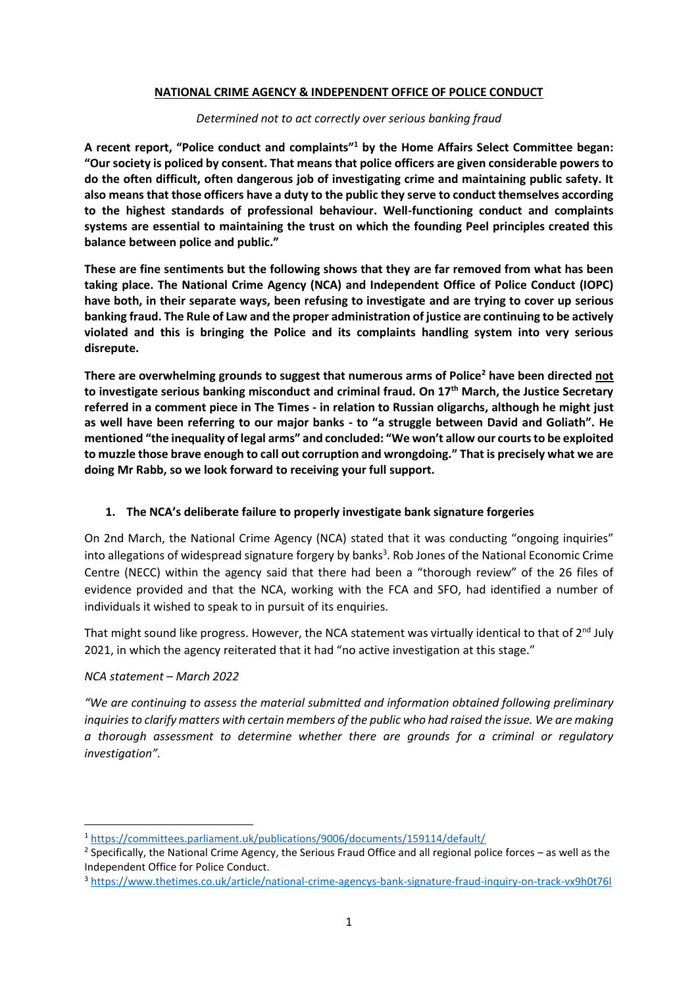### **NATIONAL CRIME AGENCY & INDEPENDENT OFFICE OF POLICE CONDUCT**

### *Determined not to act correctly over serious banking fraud*

**A recent report, "Police conduct and complaints" <sup>1</sup> by the Home Affairs Select Committee began: "Our society is policed by consent. That means that police officers are given considerable powers to do the often difficult, often dangerous job of investigating crime and maintaining public safety. It also means that those officers have a duty to the public they serve to conduct themselves according to the highest standards of professional behaviour. Well-functioning conduct and complaints systems are essential to maintaining the trust on which the founding Peel principles created this balance between police and public."** 

**These are fine sentiments but the following shows that they are far removed from what has been taking place. The National Crime Agency (NCA) and Independent Office of Police Conduct (IOPC) have both, in their separate ways, been refusing to investigate and are trying to cover up serious banking fraud. The Rule of Law and the proper administration of justice are continuing to be actively violated and this is bringing the Police and its complaints handling system into very serious disrepute.**

**There are overwhelming grounds to suggest that numerous arms of Police<sup>2</sup> have been directed not to investigate serious banking misconduct and criminal fraud. On 17th March, the Justice Secretary referred in a comment piece in The Times - in relation to Russian oligarchs, although he might just as well have been referring to our major banks - to "a struggle between David and Goliath". He mentioned "the inequality of legal arms" and concluded: "We won't allow our courts to be exploited to muzzle those brave enough to call out corruption and wrongdoing." That is precisely what we are doing Mr Rabb, so we look forward to receiving your full support.**

# **1. The NCA's deliberate failure to properly investigate bank signature forgeries**

On 2nd March, the National Crime Agency (NCA) stated that it was conducting "ongoing inquiries" into allegations of widespread signature forgery by banks<sup>3</sup>. Rob Jones of the National Economic Crime Centre (NECC) within the agency said that there had been a "thorough review" of the 26 files of evidence provided and that the NCA, working with the FCA and SFO, had identified a number of individuals it wished to speak to in pursuit of its enquiries.

That might sound like progress. However, the NCA statement was virtually identical to that of 2<sup>nd</sup> July 2021, in which the agency reiterated that it had "no active investigation at this stage."

# *NCA statement – March 2022*

*"We are continuing to assess the material submitted and information obtained following preliminary inquiries to clarify matters with certain members of the public who had raised the issue. We are making a thorough assessment to determine whether there are grounds for a criminal or regulatory investigation".*

<sup>3</sup> <https://www.thetimes.co.uk/article/national-crime-agencys-bank-signature-fraud-inquiry-on-track-vx9h0t76l>

<sup>1</sup> <https://committees.parliament.uk/publications/9006/documents/159114/default/>

 $2$  Specifically, the National Crime Agency, the Serious Fraud Office and all regional police forces – as well as the Independent Office for Police Conduct.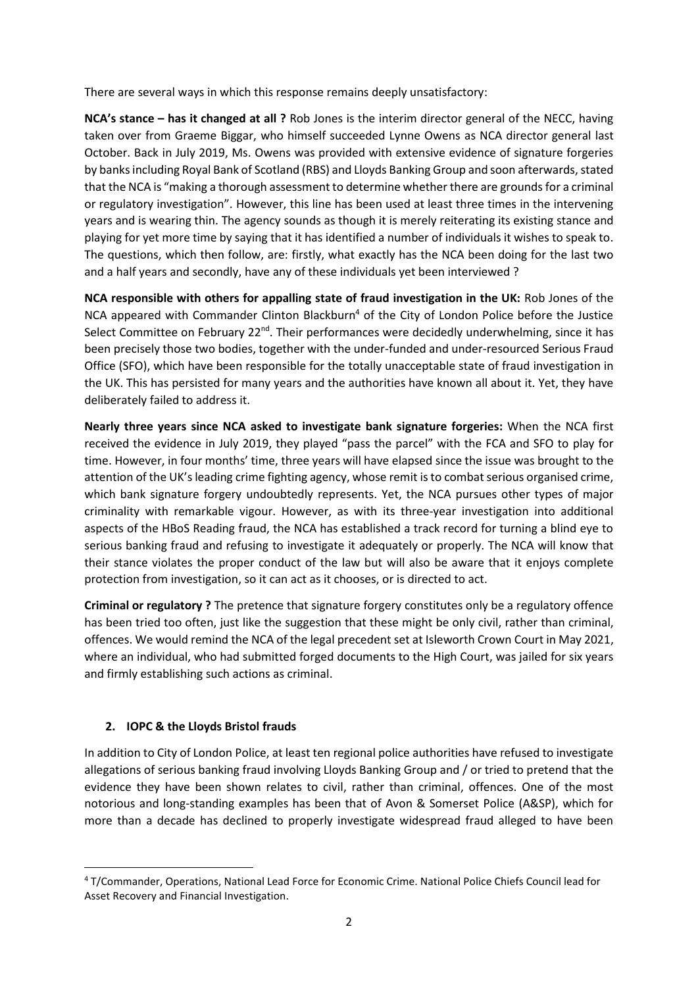There are several ways in which this response remains deeply unsatisfactory:

**NCA's stance – has it changed at all ?** Rob Jones is the interim director general of the NECC, having taken over from Graeme Biggar, who himself succeeded Lynne Owens as NCA director general last October. Back in July 2019, Ms. Owens was provided with extensive evidence of signature forgeries by banks including Royal Bank of Scotland (RBS) and Lloyds Banking Group and soon afterwards, stated that the NCA is "making a thorough assessment to determine whether there are grounds for a criminal or regulatory investigation". However, this line has been used at least three times in the intervening years and is wearing thin. The agency sounds as though it is merely reiterating its existing stance and playing for yet more time by saying that it has identified a number of individuals it wishes to speak to. The questions, which then follow, are: firstly, what exactly has the NCA been doing for the last two and a half years and secondly, have any of these individuals yet been interviewed ?

**NCA responsible with others for appalling state of fraud investigation in the UK:** Rob Jones of the NCA appeared with Commander Clinton Blackburn<sup>4</sup> of the City of London Police before the Justice Select Committee on February 22<sup>nd</sup>. Their performances were decidedly underwhelming, since it has been precisely those two bodies, together with the under-funded and under-resourced Serious Fraud Office (SFO), which have been responsible for the totally unacceptable state of fraud investigation in the UK. This has persisted for many years and the authorities have known all about it. Yet, they have deliberately failed to address it.

**Nearly three years since NCA asked to investigate bank signature forgeries:** When the NCA first received the evidence in July 2019, they played "pass the parcel" with the FCA and SFO to play for time. However, in four months' time, three years will have elapsed since the issue was brought to the attention of the UK's leading crime fighting agency, whose remit is to combat serious organised crime, which bank signature forgery undoubtedly represents. Yet, the NCA pursues other types of major criminality with remarkable vigour. However, as with its three-year investigation into additional aspects of the HBoS Reading fraud, the NCA has established a track record for turning a blind eye to serious banking fraud and refusing to investigate it adequately or properly. The NCA will know that their stance violates the proper conduct of the law but will also be aware that it enjoys complete protection from investigation, so it can act as it chooses, or is directed to act.

**Criminal or regulatory ?** The pretence that signature forgery constitutes only be a regulatory offence has been tried too often, just like the suggestion that these might be only civil, rather than criminal, offences. We would remind the NCA of the legal precedent set at Isleworth Crown Court in May 2021, where an individual, who had submitted forged documents to the High Court, was jailed for six years and firmly establishing such actions as criminal.

# **2. IOPC & the Lloyds Bristol frauds**

In addition to City of London Police, at least ten regional police authorities have refused to investigate allegations of serious banking fraud involving Lloyds Banking Group and / or tried to pretend that the evidence they have been shown relates to civil, rather than criminal, offences. One of the most notorious and long-standing examples has been that of Avon & Somerset Police (A&SP), which for more than a decade has declined to properly investigate widespread fraud alleged to have been

<sup>4</sup> T/Commander, Operations, National Lead Force for Economic Crime. National Police Chiefs Council lead for Asset Recovery and Financial Investigation.